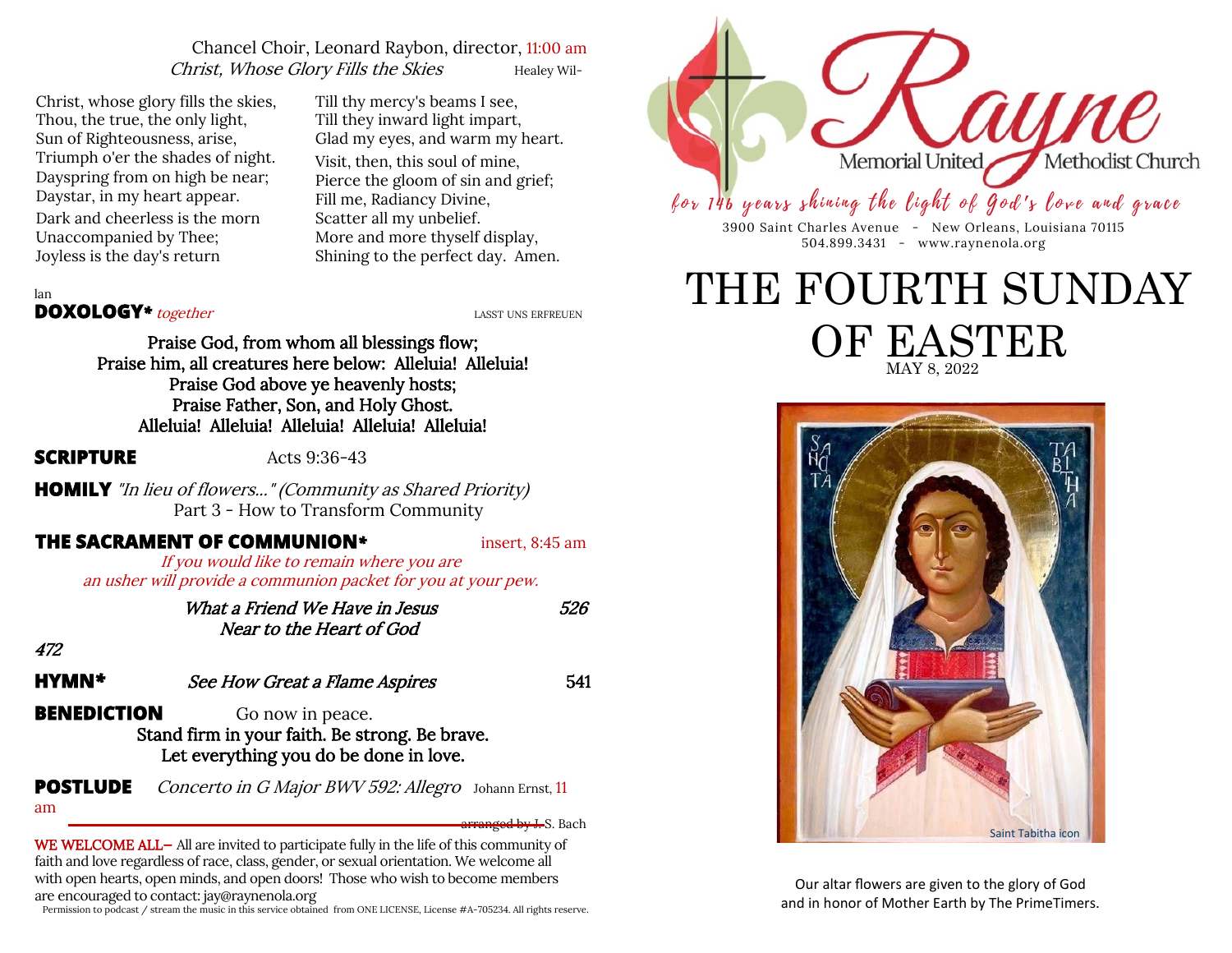# Chancel Choir, Leonard Raybon, director, 11:00 am Christ, Whose Glory Fills the Skies Healey Wil-

Christ, whose glory fills the skies, Thou, the true, the only light, Sun of Righteousness, arise, Triumph o'er the shades of night. Dayspring from on high be near; Daystar, in my heart appear. Dark and cheerless is the morn Unaccompanied by Thee; Joyless is the day's return

Till thy mercy's beams I see, Till they inward light impart, Glad my eyes, and warm my heart. Visit, then, this soul of mine, Pierce the gloom of sin and grief; Fill me, Radiancy Divine, Scatter all my unbelief. More and more thyself display, Shining to the perfect day. Amen.



for 146 years shining the light of God's love and grace

3900 Saint Charles Avenue - New Orleans, Louisiana 70115 504.899.3431 - www.raynenola.org

# MAY 8, 2022 THE FOURTH SUNDAY OF EASTER



Our altar flowers are given to the glory of God and in honor of Mother Earth by The PrimeTimers.

lan

# **DOXOLOGY**<sup>\*</sup> together *LASST UNS ERFREUEN*

Praise God, from whom all blessings flow; Praise him, all creatures here below: Alleluia! Alleluia! Praise God above ye heavenly hosts; Praise Father, Son, and Holy Ghost. Alleluia! Alleluia! Alleluia! Alleluia! Alleluia!

**SCRIPTURE**  $\text{Acts } 9:36-43$ 

**HOMILY** "In lieu of flowers..." (Community as Shared Priority) Part 3 - How to Transform Community

# **THE SACRAMENT OF COMMUNION***\** insert, 8:45 am

If you would like to remain where you are an usher will provide a communion packet for you at your pew.

> What a Friend We Have in Jesus 626 Near to the Heart of God

472

**HYMN**<sup>\*</sup> See How Great a Flame Aspires 541

**BENEDICTION** Go now in peace. Stand firm in your faith. Be strong. Be brave. Let everything you do be done in love.

**POSTLUDE** Concerto in G Major BWV 592: Allegro Johann Ernst, 11 am

arranged by J. S. Bach

WE WELCOME ALL— All are invited to participate fully in the life of this community of faith and love regardless of race, class, gender, or sexual orientation. We welcome all with open hearts, open minds, and open doors! Those who wish to become members are encouraged to contact: jay@raynenola.org

Permission to podcast / stream the music in this service obtained from ONE LICENSE, License #A-705234. All rights reserve.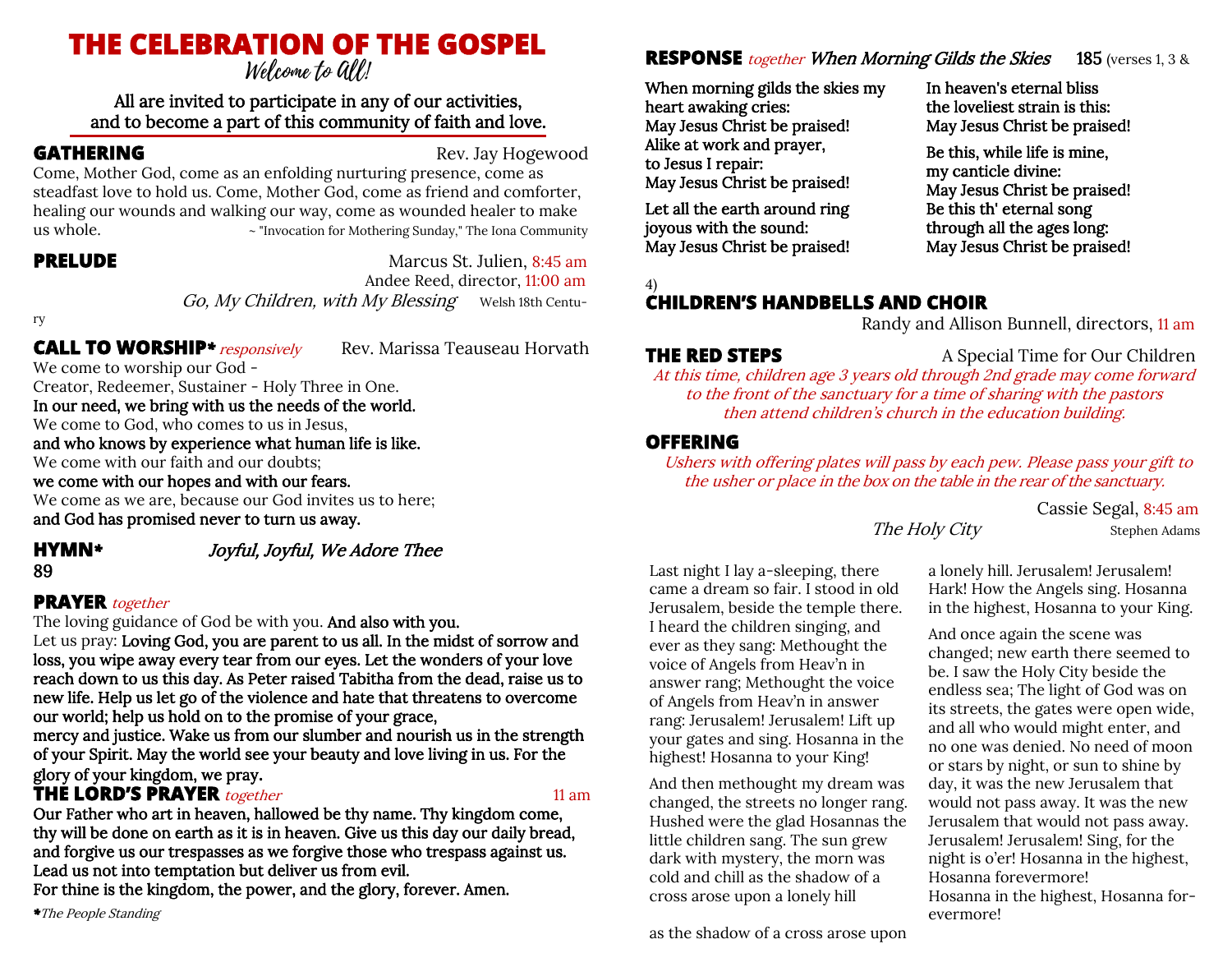# **THE CELEBRATION OF THE GOSPEL**

# All are invited to participate in any of our activities, and to become a part of this community of faith and love.

**GATHERING** Rev. Jay Hogewood

Come, Mother God, come as an enfolding nurturing presence, come as steadfast love to hold us. Come, Mother God, come as friend and comforter, healing our wounds and walking our way, come as wounded healer to make us whole. ~ "Invocation for Mothering Sunday," The Iona Community

**PRELUDE** Marcus St. Julien, 8:45 am Andee Reed, director, 11:00 am Go, My Children, with My Blessing Welsh 18th Centu-

ry

# **CALL TO WORSHIP**<sup>\*</sup> *responsively* Rev. Marissa Teauseau Horvath

We come to worship our God - Creator, Redeemer, Sustainer - Holy Three in One. In our need, we bring with us the needs of the world. We come to God, who comes to us in Jesus, and who knows by experience what human life is like. We come with our faith and our doubts;

we come with our hopes and with our fears.

We come as we are, because our God invites us to here; and God has promised never to turn us away.

# **HYMN***\** Joyful, Joyful, We Adore Thee

# 89

# **PRAYER** together

The loving guidance of God be with you. And also with you. Let us pray: Loving God, you are parent to us all. In the midst of sorrow and loss, you wipe away every tear from our eyes. Let the wonders of your love reach down to us this day. As Peter raised Tabitha from the dead, raise us to new life. Help us let go of the violence and hate that threatens to overcome our world; help us hold on to the promise of your grace,

mercy and justice. Wake us from our slumber and nourish us in the strength of your Spirit. May the world see your beauty and love living in us. For the glory of your kingdom, we pray.

# **THE LORD'S PRAYER** together 11 am

Our Father who art in heaven, hallowed be thy name. Thy kingdom come, thy will be done on earth as it is in heaven. Give us this day our daily bread, and forgive us our trespasses as we forgive those who trespass against us. Lead us not into temptation but deliver us from evil.

For thine is the kingdom, the power, and the glory, forever. Amen.

*\**The People Standing

# **RESPONSE** *together When Morning Gilds the Skies* 185 (verses 1, 3 &

When morning gilds the skies my heart awaking cries: May Jesus Christ be praised! Alike at work and prayer, to Jesus I repair: May Jesus Christ be praised!

Let all the earth around ring joyous with the sound: May Jesus Christ be praised!

4)

# **CHILDREN'S HANDBELLS AND CHOIR**

Randy and Allison Bunnell, directors, 11 am

May Jesus Christ be praised! Be this th' eternal song through all the ages long: May Jesus Christ be praised!

In heaven's eternal bliss the loveliest strain is this: May Jesus Christ be praised! Be this, while life is mine, my canticle divine:

# **THE RED STEPS** A Special Time for Our Children

At this time, children age 3 years old through 2nd grade may come forward to the front of the sanctuary for a time of sharing with the pastors then attend children's church in the education building.

# **OFFERING**

Ushers with offering plates will pass by each pew. Please pass your gift to the usher or place in the box on the table in the rear of the sanctuary.

> Cassie Segal, 8:45 am The Holy City Stephen Adams

Last night I lay a-sleeping, there came a dream so fair. I stood in old Jerusalem, beside the temple there. I heard the children singing, and ever as they sang: Methought the voice of Angels from Heav'n in answer rang; Methought the voice of Angels from Heav'n in answer rang: Jerusalem! Jerusalem! Lift up your gates and sing. Hosanna in the highest! Hosanna to your King!

And then methought my dream was changed, the streets no longer rang. Hushed were the glad Hosannas the little children sang. The sun grew dark with mystery, the morn was cold and chill as the shadow of a cross arose upon a lonely hill

as the shadow of a cross arose upon

a lonely hill. Jerusalem! Jerusalem! Hark! How the Angels sing. Hosanna in the highest, Hosanna to your King.

And once again the scene was changed; new earth there seemed to be. I saw the Holy City beside the endless sea; The light of God was on its streets, the gates were open wide, and all who would might enter, and no one was denied. No need of moon or stars by night, or sun to shine by day, it was the new Jerusalem that would not pass away. It was the new Jerusalem that would not pass away. Jerusalem! Jerusalem! Sing, for the night is o'er! Hosanna in the highest, Hosanna forevermore! Hosanna in the highest, Hosanna forevermore!